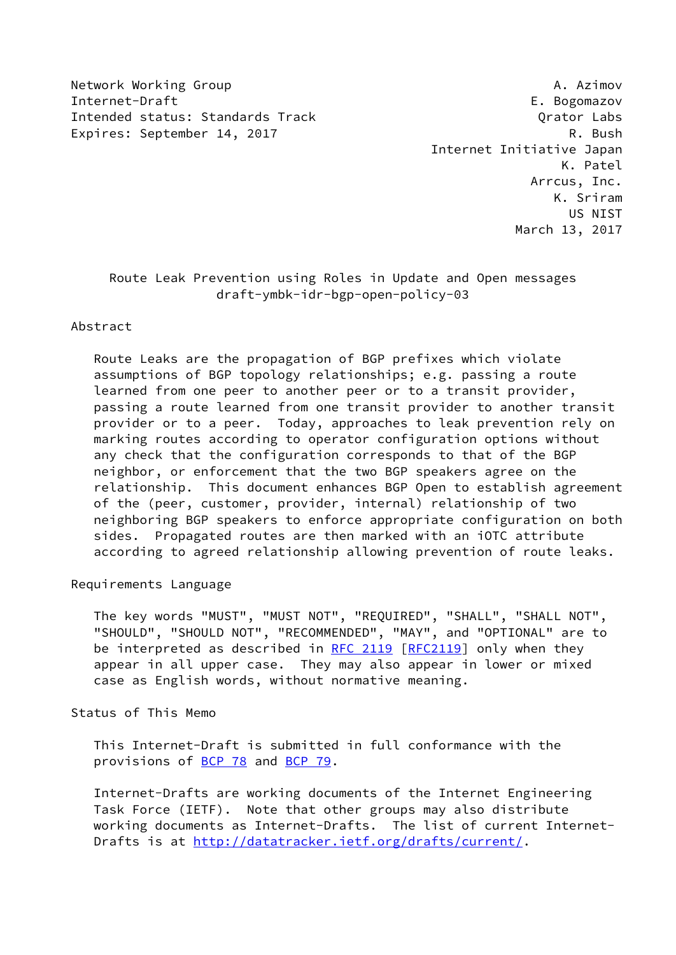Network Working Group **A. Azimov** A. Azimov Internet-Draft E. Bogomazov Intended status: Standards Track Crator Constant Content Cabs Expires: September 14, 2017 R. Bush

 Internet Initiative Japan K. Patel Arrcus, Inc. K. Sriram US NIST March 13, 2017

# Route Leak Prevention using Roles in Update and Open messages draft-ymbk-idr-bgp-open-policy-03

## Abstract

 Route Leaks are the propagation of BGP prefixes which violate assumptions of BGP topology relationships; e.g. passing a route learned from one peer to another peer or to a transit provider, passing a route learned from one transit provider to another transit provider or to a peer. Today, approaches to leak prevention rely on marking routes according to operator configuration options without any check that the configuration corresponds to that of the BGP neighbor, or enforcement that the two BGP speakers agree on the relationship. This document enhances BGP Open to establish agreement of the (peer, customer, provider, internal) relationship of two neighboring BGP speakers to enforce appropriate configuration on both sides. Propagated routes are then marked with an iOTC attribute according to agreed relationship allowing prevention of route leaks.

Requirements Language

 The key words "MUST", "MUST NOT", "REQUIRED", "SHALL", "SHALL NOT", "SHOULD", "SHOULD NOT", "RECOMMENDED", "MAY", and "OPTIONAL" are to be interpreted as described in [RFC 2119 \[RFC2119](https://datatracker.ietf.org/doc/pdf/rfc2119)] only when they appear in all upper case. They may also appear in lower or mixed case as English words, without normative meaning.

Status of This Memo

 This Internet-Draft is submitted in full conformance with the provisions of [BCP 78](https://datatracker.ietf.org/doc/pdf/bcp78) and [BCP 79](https://datatracker.ietf.org/doc/pdf/bcp79).

 Internet-Drafts are working documents of the Internet Engineering Task Force (IETF). Note that other groups may also distribute working documents as Internet-Drafts. The list of current Internet- Drafts is at<http://datatracker.ietf.org/drafts/current/>.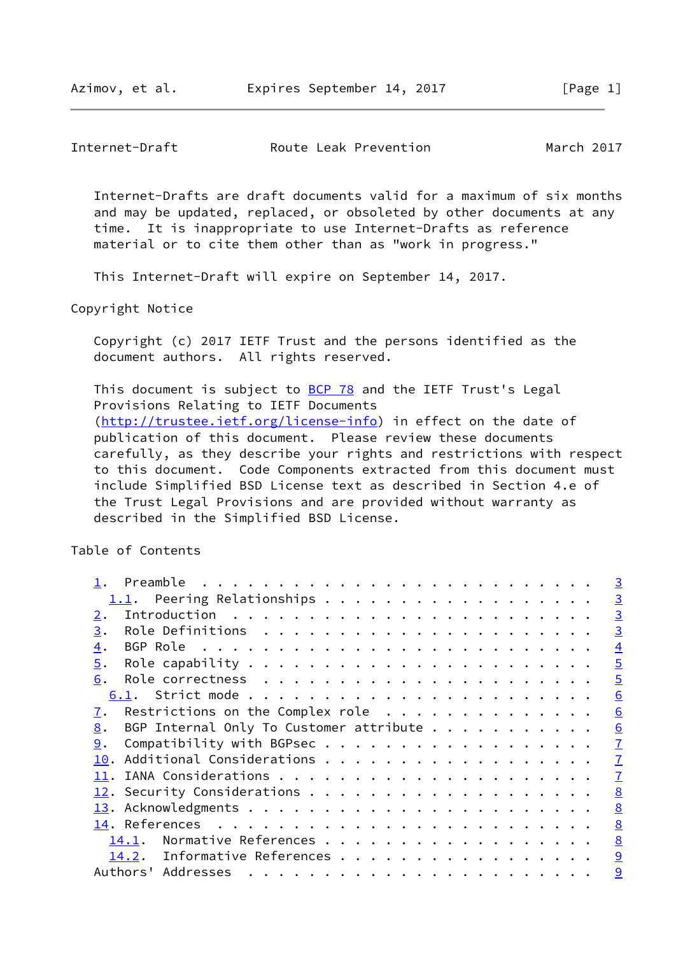Internet-Drafts are draft documents valid for a maximum of six months and may be updated, replaced, or obsoleted by other documents at any time. It is inappropriate to use Internet-Drafts as reference material or to cite them other than as "work in progress."

This Internet-Draft will expire on September 14, 2017.

Copyright Notice

 Copyright (c) 2017 IETF Trust and the persons identified as the document authors. All rights reserved.

This document is subject to [BCP 78](https://datatracker.ietf.org/doc/pdf/bcp78) and the IETF Trust's Legal Provisions Relating to IETF Documents [\(http://trustee.ietf.org/license-info](http://trustee.ietf.org/license-info)) in effect on the date of publication of this document. Please review these documents carefully, as they describe your rights and restrictions with respect to this document. Code Components extracted from this document must include Simplified BSD License text as described in Section 4.e of the Trust Legal Provisions and are provided without warranty as described in the Simplified BSD License.

Table of Contents

| Preamble<br>. The contract of the contract of the contract of the contract of the contract of the contract of the contract of the contract of the contract of the contract of the contract of the contract of the contract of the contrac | $\overline{3}$ |
|-------------------------------------------------------------------------------------------------------------------------------------------------------------------------------------------------------------------------------------------|----------------|
| 1.1. Peering Relationships                                                                                                                                                                                                                | $\overline{3}$ |
| 2.                                                                                                                                                                                                                                        | $\overline{3}$ |
| 3.                                                                                                                                                                                                                                        | $\overline{3}$ |
| 4.                                                                                                                                                                                                                                        | $\overline{4}$ |
| 5.                                                                                                                                                                                                                                        | $\overline{5}$ |
| 6.                                                                                                                                                                                                                                        | $\overline{5}$ |
|                                                                                                                                                                                                                                           | 6              |
| Restrictions on the Complex role $\cdots$<br>7.                                                                                                                                                                                           | 6              |
| BGP Internal Only To Customer attribute<br>8.                                                                                                                                                                                             | 6              |
| Compatibility with BGPsec<br>9.                                                                                                                                                                                                           | $\mathbf{I}$   |
| 10.                                                                                                                                                                                                                                       | $\overline{1}$ |
|                                                                                                                                                                                                                                           | $\mathbf{I}$   |
|                                                                                                                                                                                                                                           | 8              |
|                                                                                                                                                                                                                                           | 8              |
|                                                                                                                                                                                                                                           | 8              |
| 14.1.                                                                                                                                                                                                                                     | 8              |
| Informative References<br><u>14.2</u> .                                                                                                                                                                                                   | 9              |
| Addresses<br>Authors'                                                                                                                                                                                                                     | 9              |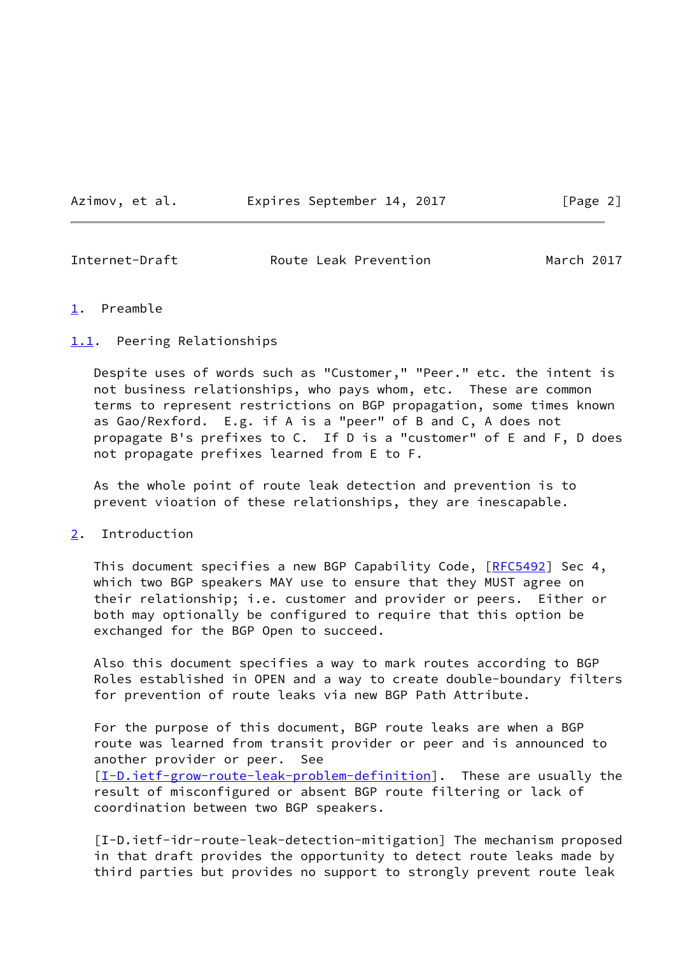Azimov, et al. Expires September 14, 2017 [Page 2]

<span id="page-2-1"></span>Internet-Draft Route Leak Prevention March 2017

### <span id="page-2-0"></span>[1](#page-2-0). Preamble

#### <span id="page-2-2"></span>[1.1](#page-2-2). Peering Relationships

 Despite uses of words such as "Customer," "Peer." etc. the intent is not business relationships, who pays whom, etc. These are common terms to represent restrictions on BGP propagation, some times known as Gao/Rexford. E.g. if A is a "peer" of B and C, A does not propagate B's prefixes to C. If D is a "customer" of E and F, D does not propagate prefixes learned from E to F.

 As the whole point of route leak detection and prevention is to prevent vioation of these relationships, they are inescapable.

<span id="page-2-3"></span>[2](#page-2-3). Introduction

This document specifies a new BGP Capability Code, [[RFC5492\]](https://datatracker.ietf.org/doc/pdf/rfc5492) Sec 4, which two BGP speakers MAY use to ensure that they MUST agree on their relationship; i.e. customer and provider or peers. Either or both may optionally be configured to require that this option be exchanged for the BGP Open to succeed.

 Also this document specifies a way to mark routes according to BGP Roles established in OPEN and a way to create double-boundary filters for prevention of route leaks via new BGP Path Attribute.

 For the purpose of this document, BGP route leaks are when a BGP route was learned from transit provider or peer and is announced to another provider or peer. See [\[I-D.ietf-grow-route-leak-problem-definition](#page-9-2)]. These are usually the result of misconfigured or absent BGP route filtering or lack of coordination between two BGP speakers.

 [I-D.ietf-idr-route-leak-detection-mitigation] The mechanism proposed in that draft provides the opportunity to detect route leaks made by third parties but provides no support to strongly prevent route leak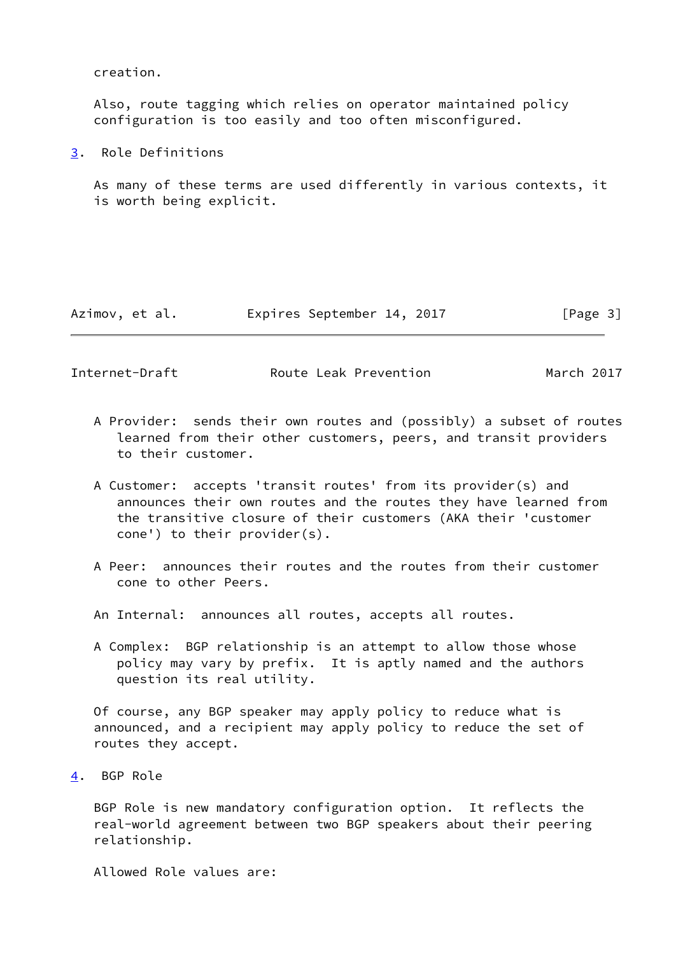creation.

 Also, route tagging which relies on operator maintained policy configuration is too easily and too often misconfigured.

<span id="page-3-0"></span>[3](#page-3-0). Role Definitions

 As many of these terms are used differently in various contexts, it is worth being explicit.

| Azimov, et al. |  | Expires September 14, 2017 |  |  | [Page 3] |  |  |
|----------------|--|----------------------------|--|--|----------|--|--|
|----------------|--|----------------------------|--|--|----------|--|--|

<span id="page-3-2"></span>Internet-Draft **Route Leak Prevention** March 2017

- A Provider: sends their own routes and (possibly) a subset of routes learned from their other customers, peers, and transit providers to their customer.
- A Customer: accepts 'transit routes' from its provider(s) and announces their own routes and the routes they have learned from the transitive closure of their customers (AKA their 'customer cone') to their provider(s).
- A Peer: announces their routes and the routes from their customer cone to other Peers.
- An Internal: announces all routes, accepts all routes.
- A Complex: BGP relationship is an attempt to allow those whose policy may vary by prefix. It is aptly named and the authors question its real utility.

 Of course, any BGP speaker may apply policy to reduce what is announced, and a recipient may apply policy to reduce the set of routes they accept.

<span id="page-3-1"></span>[4](#page-3-1). BGP Role

 BGP Role is new mandatory configuration option. It reflects the real-world agreement between two BGP speakers about their peering relationship.

Allowed Role values are: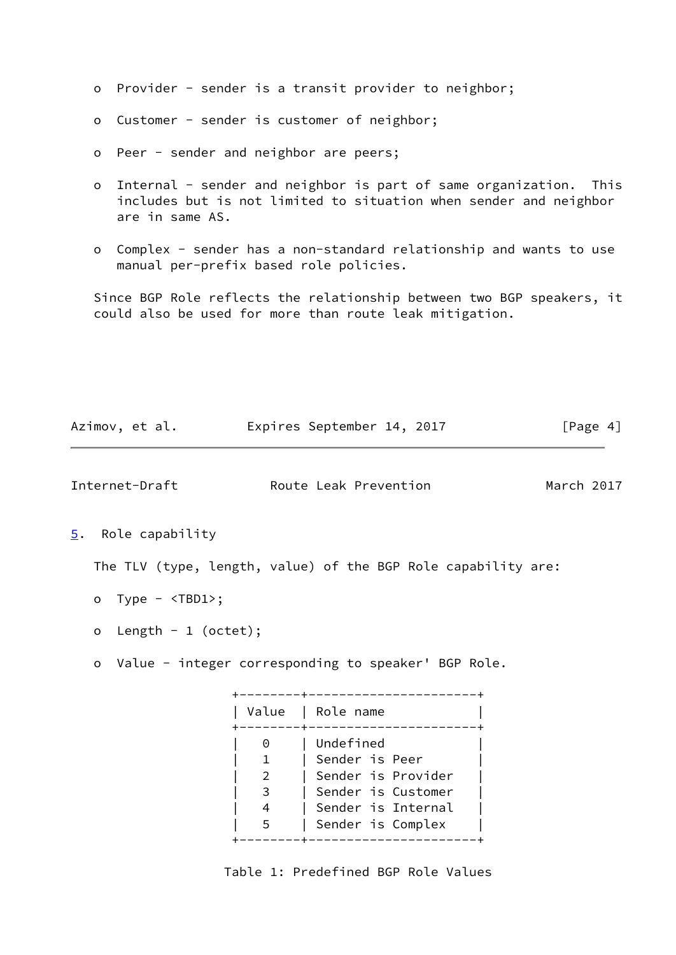- o Provider sender is a transit provider to neighbor;
- o Customer sender is customer of neighbor;
- o Peer sender and neighbor are peers;
- o Internal sender and neighbor is part of same organization. This includes but is not limited to situation when sender and neighbor are in same AS.
- o Complex sender has a non-standard relationship and wants to use manual per-prefix based role policies.

 Since BGP Role reflects the relationship between two BGP speakers, it could also be used for more than route leak mitigation.

<span id="page-4-1"></span><span id="page-4-0"></span>

| Internet-Draft                | Route Leak Prevention                                         | March 2017 |
|-------------------------------|---------------------------------------------------------------|------------|
| Role capability<br>5.         |                                                               |            |
|                               | The TLV (type, length, value) of the BGP Role capability are: |            |
| - Type - <tbd1>;<br/>o</tbd1> |                                                               |            |

Azimov, et al. Expires September 14, 2017 [Page 4]

- o Length 1 (octet);
- o Value integer corresponding to speaker' BGP Role.

 +--------+----------------------+ | Value | Role name | +--------+----------------------+ 0 | Undefined | 1 | Sender is Peer | | 2 | Sender is Provider | | 3 | Sender is Customer | | 4 | Sender is Internal | | 5 | Sender is Complex | +--------+----------------------+

Table 1: Predefined BGP Role Values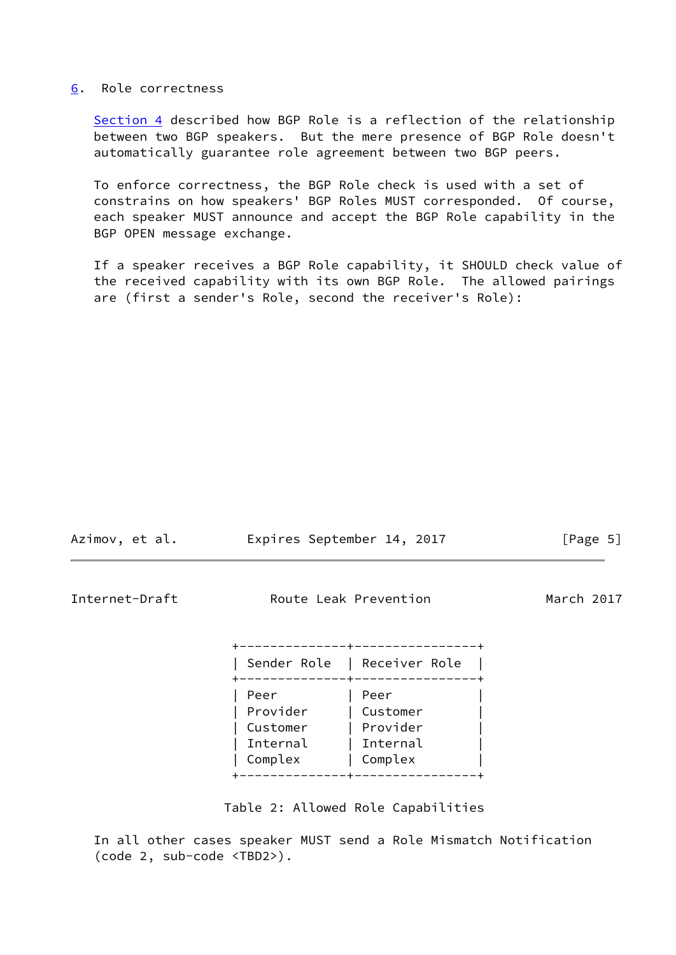#### <span id="page-5-0"></span>[6](#page-5-0). Role correctness

[Section 4](#page-3-1) described how BGP Role is a reflection of the relationship between two BGP speakers. But the mere presence of BGP Role doesn't automatically guarantee role agreement between two BGP peers.

 To enforce correctness, the BGP Role check is used with a set of constrains on how speakers' BGP Roles MUST corresponded. Of course, each speaker MUST announce and accept the BGP Role capability in the BGP OPEN message exchange.

 If a speaker receives a BGP Role capability, it SHOULD check value of the received capability with its own BGP Role. The allowed pairings are (first a sender's Role, second the receiver's Role):

<span id="page-5-1"></span>

| Azimov, et al. |                                                     | Expires September 14, 2017                                     | [Page $5$ ] |  |  |
|----------------|-----------------------------------------------------|----------------------------------------------------------------|-------------|--|--|
| Internet-Draft | Route Leak Prevention                               | March 2017                                                     |             |  |  |
|                |                                                     | ------------+-----------------+<br>Sender Role   Receiver Role |             |  |  |
|                | Peer<br>Provider<br>Customer<br>Internal<br>Complex | Peer<br>Customer<br>Provider<br>Internal<br>Complex            |             |  |  |

Table 2: Allowed Role Capabilities

+--------------+----------------+

 In all other cases speaker MUST send a Role Mismatch Notification (code 2, sub-code <TBD2>).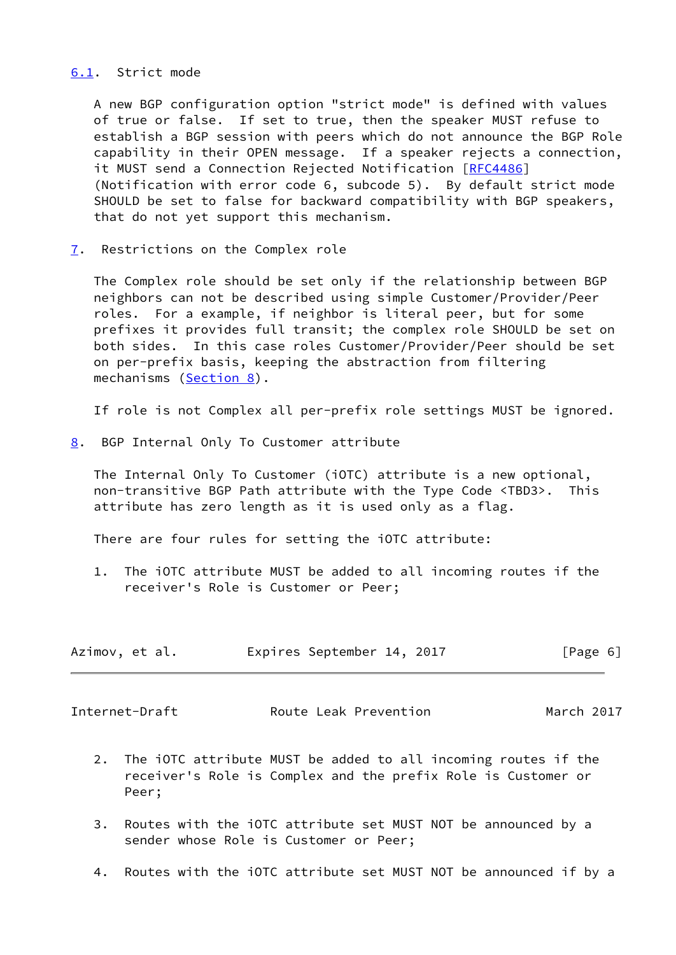#### <span id="page-6-0"></span>[6.1](#page-6-0). Strict mode

 A new BGP configuration option "strict mode" is defined with values of true or false. If set to true, then the speaker MUST refuse to establish a BGP session with peers which do not announce the BGP Role capability in their OPEN message. If a speaker rejects a connection, it MUST send a Connection Rejected Notification [\[RFC4486](https://datatracker.ietf.org/doc/pdf/rfc4486)] (Notification with error code 6, subcode 5). By default strict mode SHOULD be set to false for backward compatibility with BGP speakers, that do not yet support this mechanism.

<span id="page-6-1"></span>[7](#page-6-1). Restrictions on the Complex role

 The Complex role should be set only if the relationship between BGP neighbors can not be described using simple Customer/Provider/Peer roles. For a example, if neighbor is literal peer, but for some prefixes it provides full transit; the complex role SHOULD be set on both sides. In this case roles Customer/Provider/Peer should be set on per-prefix basis, keeping the abstraction from filtering mechanisms ([Section 8\)](#page-6-2).

If role is not Complex all per-prefix role settings MUST be ignored.

<span id="page-6-2"></span>[8](#page-6-2). BGP Internal Only To Customer attribute

 The Internal Only To Customer (iOTC) attribute is a new optional, non-transitive BGP Path attribute with the Type Code <TBD3>. This attribute has zero length as it is used only as a flag.

There are four rules for setting the iOTC attribute:

 1. The iOTC attribute MUST be added to all incoming routes if the receiver's Role is Customer or Peer;

| Azimov, et al. |  | Expires September 14, 2017 |  |  | [Page 6] |  |  |
|----------------|--|----------------------------|--|--|----------|--|--|
|----------------|--|----------------------------|--|--|----------|--|--|

<span id="page-6-3"></span>Internet-Draft **Route Leak Prevention** March 2017

- 2. The iOTC attribute MUST be added to all incoming routes if the receiver's Role is Complex and the prefix Role is Customer or Peer;
- 3. Routes with the iOTC attribute set MUST NOT be announced by a sender whose Role is Customer or Peer;
- 4. Routes with the iOTC attribute set MUST NOT be announced if by a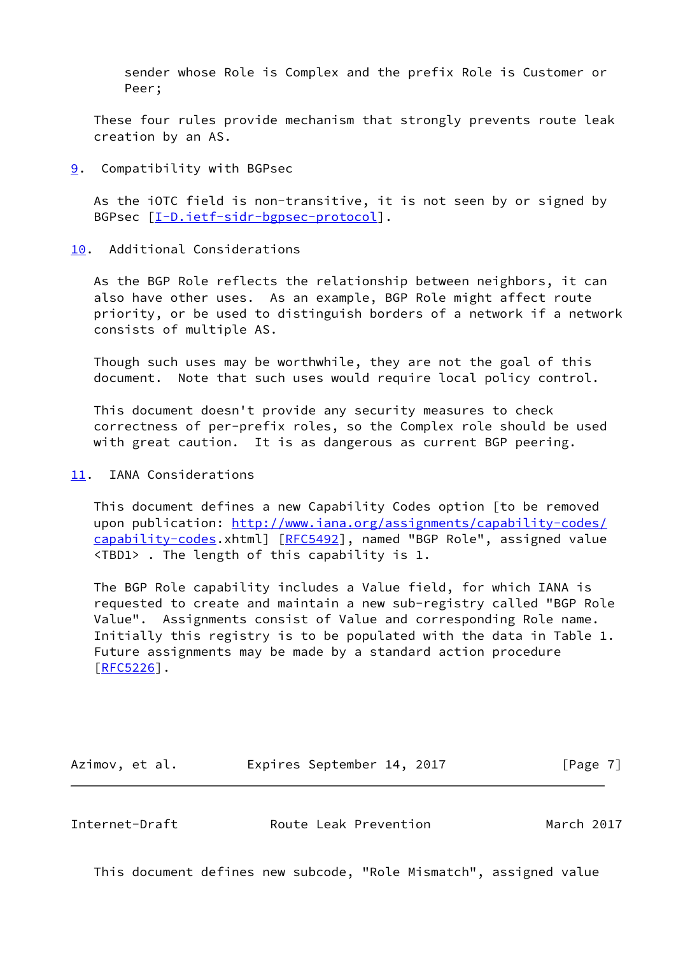sender whose Role is Complex and the prefix Role is Customer or Peer;

 These four rules provide mechanism that strongly prevents route leak creation by an AS.

### <span id="page-7-0"></span>[9](#page-7-0). Compatibility with BGPsec

 As the iOTC field is non-transitive, it is not seen by or signed by BGPsec [\[I-D.ietf-sidr-bgpsec-protocol](#page-9-3)].

## <span id="page-7-1"></span>[10.](#page-7-1) Additional Considerations

 As the BGP Role reflects the relationship between neighbors, it can also have other uses. As an example, BGP Role might affect route priority, or be used to distinguish borders of a network if a network consists of multiple AS.

 Though such uses may be worthwhile, they are not the goal of this document. Note that such uses would require local policy control.

 This document doesn't provide any security measures to check correctness of per-prefix roles, so the Complex role should be used with great caution. It is as dangerous as current BGP peering.

## <span id="page-7-2"></span>[11.](#page-7-2) IANA Considerations

 This document defines a new Capability Codes option [to be removed upon publication: [http://www.iana.org/assignments/capability-codes/](http://www.iana.org/assignments/capability-codes/capability-codes) [capability-codes](http://www.iana.org/assignments/capability-codes/capability-codes).xhtml] [\[RFC5492](https://datatracker.ietf.org/doc/pdf/rfc5492)], named "BGP Role", assigned value <TBD1> . The length of this capability is 1.

 The BGP Role capability includes a Value field, for which IANA is requested to create and maintain a new sub-registry called "BGP Role Value". Assignments consist of Value and corresponding Role name. Initially this registry is to be populated with the data in Table 1. Future assignments may be made by a standard action procedure [\[RFC5226](https://datatracker.ietf.org/doc/pdf/rfc5226)].

Azimov, et al. **Expires September 14, 2017**[Page 7]

<span id="page-7-3"></span>Internet-Draft Route Leak Prevention March 2017

This document defines new subcode, "Role Mismatch", assigned value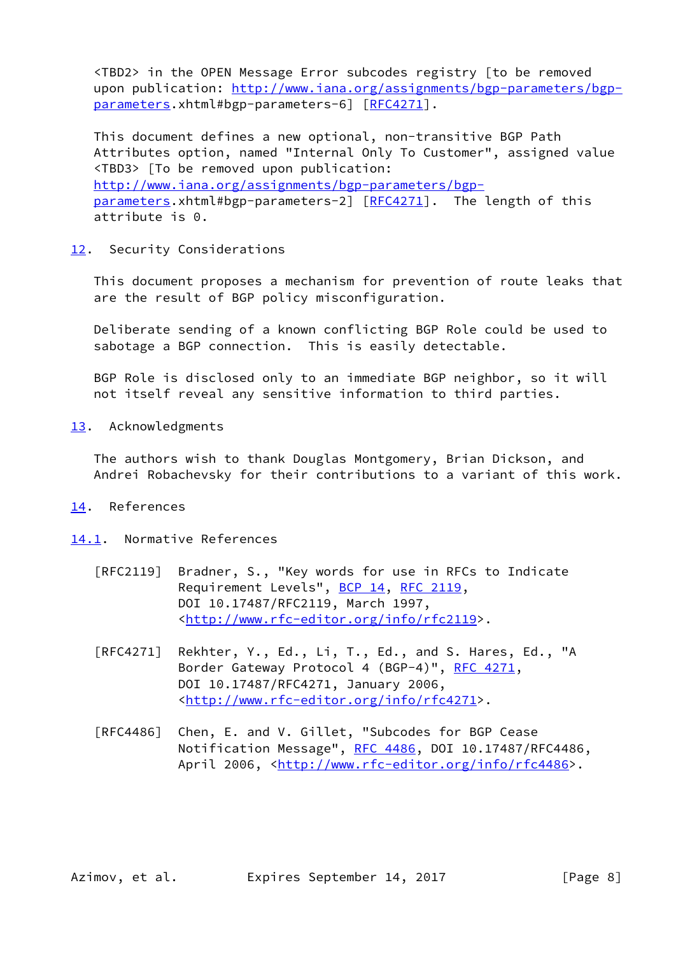<TBD2> in the OPEN Message Error subcodes registry [to be removed upon publication: [http://www.iana.org/assignments/bgp-parameters/bgp](http://www.iana.org/assignments/bgp-parameters/bgp-parameters) [parameters](http://www.iana.org/assignments/bgp-parameters/bgp-parameters).xhtml#bgp-parameters-6] [[RFC4271\]](https://datatracker.ietf.org/doc/pdf/rfc4271).

 This document defines a new optional, non-transitive BGP Path Attributes option, named "Internal Only To Customer", assigned value <TBD3> [To be removed upon publication: [http://www.iana.org/assignments/bgp-parameters/bgp](http://www.iana.org/assignments/bgp-parameters/bgp-parameters) [parameters](http://www.iana.org/assignments/bgp-parameters/bgp-parameters).xhtml#bgp-parameters-2] [[RFC4271\]](https://datatracker.ietf.org/doc/pdf/rfc4271). The length of this attribute is 0.

### <span id="page-8-0"></span>[12.](#page-8-0) Security Considerations

 This document proposes a mechanism for prevention of route leaks that are the result of BGP policy misconfiguration.

 Deliberate sending of a known conflicting BGP Role could be used to sabotage a BGP connection. This is easily detectable.

 BGP Role is disclosed only to an immediate BGP neighbor, so it will not itself reveal any sensitive information to third parties.

<span id="page-8-1"></span>[13.](#page-8-1) Acknowledgments

 The authors wish to thank Douglas Montgomery, Brian Dickson, and Andrei Robachevsky for their contributions to a variant of this work.

### <span id="page-8-2"></span>[14.](#page-8-2) References

- <span id="page-8-3"></span>[14.1](#page-8-3). Normative References
	- [RFC2119] Bradner, S., "Key words for use in RFCs to Indicate Requirement Levels", [BCP 14](https://datatracker.ietf.org/doc/pdf/bcp14), [RFC 2119](https://datatracker.ietf.org/doc/pdf/rfc2119), DOI 10.17487/RFC2119, March 1997, <<http://www.rfc-editor.org/info/rfc2119>>.
	- [RFC4271] Rekhter, Y., Ed., Li, T., Ed., and S. Hares, Ed., "A Border Gateway Protocol 4 (BGP-4)", [RFC 4271,](https://datatracker.ietf.org/doc/pdf/rfc4271) DOI 10.17487/RFC4271, January 2006, <<http://www.rfc-editor.org/info/rfc4271>>.
	- [RFC4486] Chen, E. and V. Gillet, "Subcodes for BGP Cease Notification Message", [RFC 4486](https://datatracker.ietf.org/doc/pdf/rfc4486), DOI 10.17487/RFC4486, April 2006, [<http://www.rfc-editor.org/info/rfc4486](http://www.rfc-editor.org/info/rfc4486)>.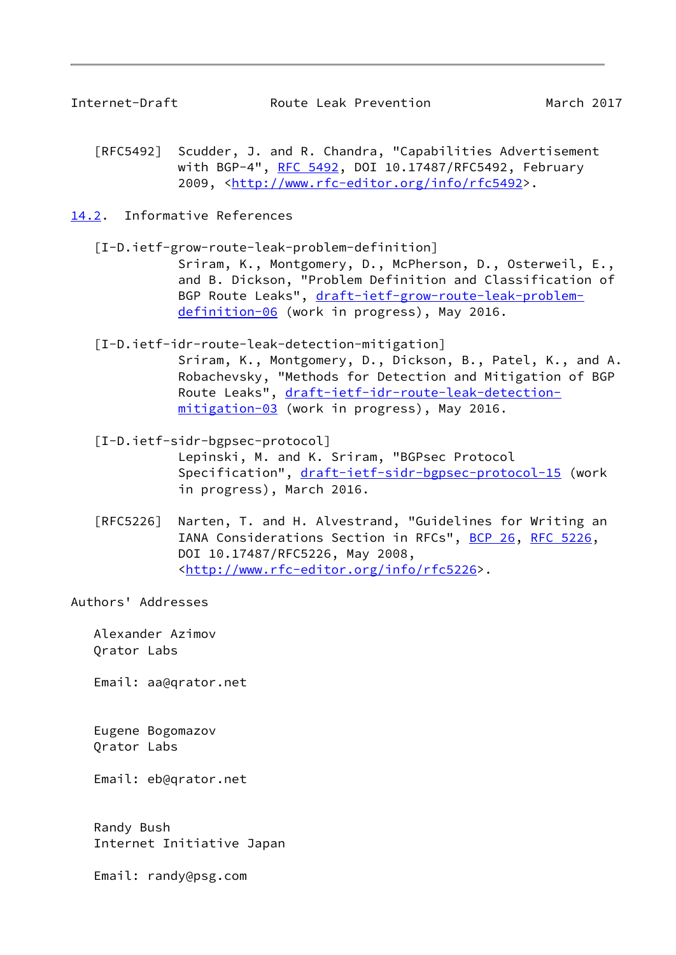<span id="page-9-1"></span>

- [RFC5492] Scudder, J. and R. Chandra, "Capabilities Advertisement with BGP-4", [RFC 5492](https://datatracker.ietf.org/doc/pdf/rfc5492), DOI 10.17487/RFC5492, February 2009, [<http://www.rfc-editor.org/info/rfc5492](http://www.rfc-editor.org/info/rfc5492)>.
- <span id="page-9-2"></span><span id="page-9-0"></span>[14.2](#page-9-0). Informative References
	- [I-D.ietf-grow-route-leak-problem-definition] Sriram, K., Montgomery, D., McPherson, D., Osterweil, E., and B. Dickson, "Problem Definition and Classification of BGP Route Leaks", [draft-ietf-grow-route-leak-problem](https://datatracker.ietf.org/doc/pdf/draft-ietf-grow-route-leak-problem-definition-06) [definition-06](https://datatracker.ietf.org/doc/pdf/draft-ietf-grow-route-leak-problem-definition-06) (work in progress), May 2016.
	- [I-D.ietf-idr-route-leak-detection-mitigation] Sriram, K., Montgomery, D., Dickson, B., Patel, K., and A. Robachevsky, "Methods for Detection and Mitigation of BGP Route Leaks", [draft-ietf-idr-route-leak-detection](https://datatracker.ietf.org/doc/pdf/draft-ietf-idr-route-leak-detection-mitigation-03) [mitigation-03](https://datatracker.ietf.org/doc/pdf/draft-ietf-idr-route-leak-detection-mitigation-03) (work in progress), May 2016.
	- [I-D.ietf-sidr-bgpsec-protocol] Lepinski, M. and K. Sriram, "BGPsec Protocol Specification", [draft-ietf-sidr-bgpsec-protocol-15](https://datatracker.ietf.org/doc/pdf/draft-ietf-sidr-bgpsec-protocol-15) (work in progress), March 2016.
	- [RFC5226] Narten, T. and H. Alvestrand, "Guidelines for Writing an IANA Considerations Section in RFCs", [BCP 26](https://datatracker.ietf.org/doc/pdf/bcp26), [RFC 5226](https://datatracker.ietf.org/doc/pdf/rfc5226), DOI 10.17487/RFC5226, May 2008, <<http://www.rfc-editor.org/info/rfc5226>>.

<span id="page-9-3"></span>Authors' Addresses

 Alexander Azimov Qrator Labs

Email: aa@qrator.net

 Eugene Bogomazov Qrator Labs

Email: eb@qrator.net

 Randy Bush Internet Initiative Japan

Email: randy@psg.com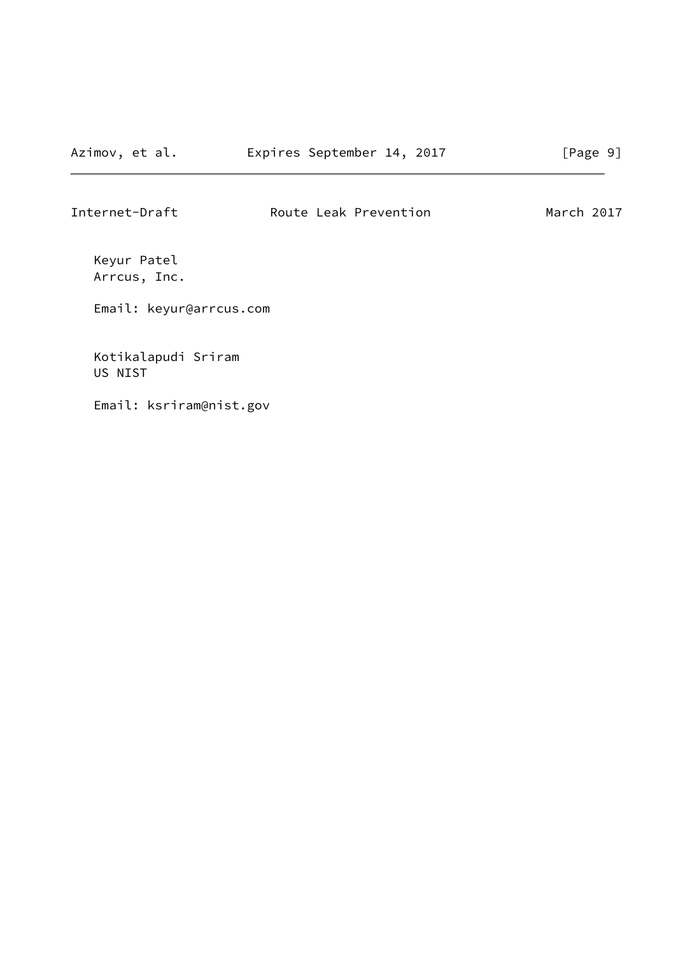Internet-Draft **Route Leak Prevention** March 2017

 Keyur Patel Arrcus, Inc.

Email: keyur@arrcus.com

 Kotikalapudi Sriram US NIST

Email: ksriram@nist.gov